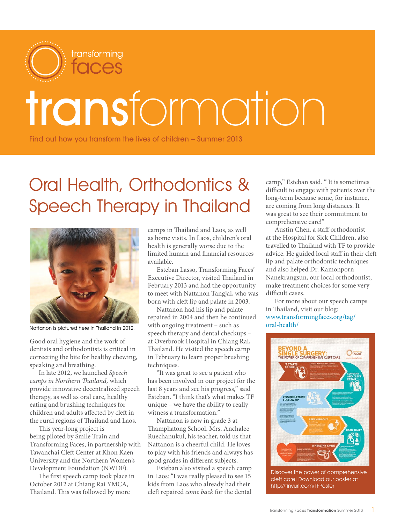

# transformation

Find out how you transform the lives of children – Summer 2013

# Oral Health, Orthodontics & Speech Therapy in Thailand



Nattanon is pictured here in Thailand in 2012.

Good oral hygiene and the work of dentists and orthodontists is critical in correcting the bite for healthy chewing, speaking and breathing.

In late 2012, we launched *Speech camps in Northern Thailand,* which provide innovative decentralized speech therapy, as well as oral care, healthy eating and brushing techniques for children and adults affected by cleft in the rural regions of Thailand and Laos.

This year-long project is being piloted by Smile Train and Transforming Faces, in partnership with Tawanchai Cleft Center at Khon Kaen University and the Northern Women's Development Foundation (NWDF).

The first speech camp took place in October 2012 at Chiang Rai YMCA, Thailand. This was followed by more

camps in Thailand and Laos, as well as home visits. In Laos, children's oral health is generally worse due to the limited human and financial resources available.

Esteban Lasso, Transforming Faces' Executive Director, visited Thailand in February 2013 and had the opportunity to meet with Nattanon Tangjai, who was born with cleft lip and palate in 2003.

Nattanon had his lip and palate repaired in 2004 and then he continued with ongoing treatment – such as speech therapy and dental checkups – at Overbrook Hospital in Chiang Rai, Thailand. He visited the speech camp in February to learn proper brushing techniques.

"It was great to see a patient who has been involved in our project for the last 8 years and see his progress," said Esteban. "I think that's what makes TF unique – we have the ability to really witness a transformation."

Nattanon is now in grade 3 at Thamphatong School. Mrs. Anchalee Ruechanukul, his teacher, told us that Nattanon is a cheerful child. He loves to play with his friends and always has good grades in different subjects.

Esteban also visited a speech camp in Laos: "I was really pleased to see 15 kids from Laos who already had their cleft repaired *come back* for the dental camp," Esteban said. " It is sometimes difficult to engage with patients over the long-term because some, for instance, are coming from long distances. It was great to see their commitment to comprehensive care!"

Austin Chen, a staff orthodontist at the Hospital for Sick Children, also travelled to Thailand with TF to provide advice. He guided local staff in their cleft lip and palate orthodontic techniques and also helped Dr. Kamonporn Nanekrangsun, our local orthodontist, make treatment choices for some very difficult cases.

For more about our speech camps in Thailand, visit our blog: www.transformingfaces.org/tag/ oral-health/



Discover the power of comprehensive cleft care! Download our poster at http://tinyurl.com/TFPoster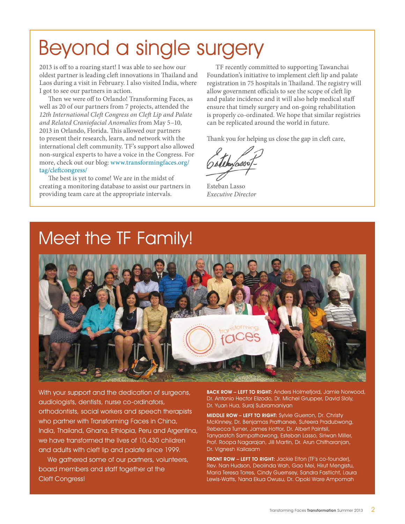# Beyond a single surgery

2013 is off to a roaring start! I was able to see how our oldest partner is leading cleft innovations in Thailand and Laos during a visit in February. I also visited India, where I got to see our partners in action.

Then we were off to Orlando! Transforming Faces, as well as 20 of our partners from 7 projects, attended the *12th International Cleft Congress on Cleft Lip and Palate and Related Craniofacial Anomalies* from May 5–10, 2013 in Orlando, Florida. This allowed our partners to present their research, learn, and network with the international cleft community. TF's support also allowed non-surgical experts to have a voice in the Congress. For more, check out our blog: www.transformingfaces.org/ tag/cleftcongress/

The best is yet to come! We are in the midst of creating a monitoring database to assist our partners in providing team care at the appropriate intervals.

TF recently committed to supporting Tawanchai Foundation's initiative to implement cleft lip and palate registration in 75 hospitals in Thailand. The registry will allow government officials to see the scope of cleft lip and palate incidence and it will also help medical staff ensure that timely surgery and on-going rehabilitation is properly co-ordinated. We hope that similar registries can be replicated around the world in future.

Thank you for helping us close the gap in cleft care,

Esteban Lasso *Executive Director*

## Meet the TF Family!



With your support and the dedication of surgeons, audiologists, dentists, nurse co-ordinators, orthodontists, social workers and speech therapists who partner with Transforming Faces in China, India, Thailand, Ghana, Ethiopia, Peru and Argentina, we have transformed the lives of 10,430 children and adults with cleft lip and palate since 1999.

We gathered some of our partners, volunteers, board members and staff together at the Cleft Congress!

BACK ROW – LEFT TO RIGHT: Anders Holmefjord, Jamie Norwood, Dr. Antonio Hector Elizodo, Dr. Michel Grupper, David Sloly, Dr. Yuan Hua, Suraj Subramaniyan

MIDDLE ROW – LEFT TO RIGHT: Sylvie Guerron, Dr. Christy McKinney, Dr. Benjamas Prathanee, Suteera Pradubwong, Rebecca Turner, James Hottor, Dr. Albert Paintsil, Tanyaratch Sampathawong, Esteban Lasso, Siriwan Miller, Prof. Roopa Nagarajan, Jill Martin, Dr. Arun Chitharanjan, Dr. Vignesh Kailasam

FRONT ROW - LEFT TO RIGHT: Jackie Elton (TF's co-founder), Rev. Nan Hudson, Deolinda Wah, Gao Mei, Hirut Mengistu, Maria Teresa Torres, Cindy Guernsey, Sandra Fastlicht, Laura Lewis-Watts, Nana Ekua Owusu, Dr. Opoki Ware Ampomah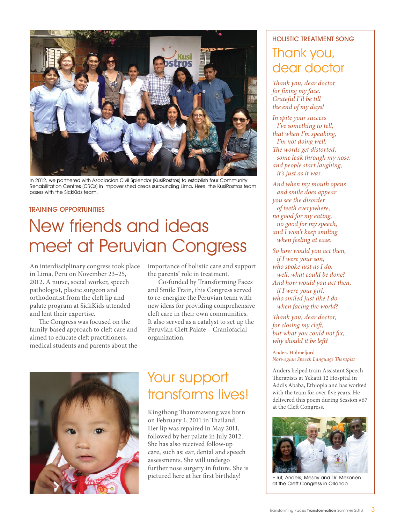

In 2012, we partnered with Asociacion Civil Splendor (KusiRostros) to establish four Community Rehabilitation Centres (CRCs) in impoverished areas surrounding Lima. Here, the KusiRostros team poses with the SickKids team.

#### TRAINING OPPORTUNITIES

## New friends and ideas meet at Peruvian Congress

An interdisciplinary congress took place in Lima, Peru on November 23–25, 2012. A nurse, social worker, speech pathologist, plastic surgeon and orthodontist from the cleft lip and palate program at SickKids attended and lent their expertise.

The Congress was focused on the family-based approach to cleft care and aimed to educate cleft practitioners, medical students and parents about the

importance of holistic care and support the parents' role in treatment.

 Co-funded by Transforming Faces and Smile Train, this Congress served to re-energize the Peruvian team with new ideas for providing comprehensive cleft care in their own communities. It also served as a catalyst to set up the Peruvian Cleft Palate – Craniofacial organization.



## Your support transforms lives!

Kingthong Thammawong was born on February 1, 2011 in Thailand. Her lip was repaired in May 2011, followed by her palate in July 2012. She has also received follow-up care, such as: ear, dental and speech assessments. She will undergo further nose surgery in future. She is pictured here at her first birthday!

## HOLISTIC TREATMENT SONG Thank you, dear doctor

*Thank you, dear doctor for fixing my face. Grateful I'll be till the end of my days!*

*In spite your success I've something to tell, that when I'm speaking, I'm not doing well. The words get distorted, some leak through my nose, and people start laughing, it's just as it was.*

*And when my mouth opens and smile does appear you see the disorder of teeth everywhere, no good for my eating, no good for my speech, and I won't keep smiling when feeling at ease.*

*So how would you act then, if I were your son, who spoke just as I do, well, what could be done? And how would you act then, if I were your girl, who smiled just like I do when facing the world?*

*Thank you, dear doctor, for closing my cleft, but what you could not fix, why should it be left?*

Anders Holmefjord *Norwegian Speech Language Therapist*

Anders helped train Assistant Speech Therapists at Yekatit 12 Hospital in Addis Ababa, Ethiopia and has worked with the team for over five years. He delivered this poem during Session #67 at the Cleft Congress.



Hirut, Anders, Mesay and Dr. Mekonen at the Cleft Congress in Orlando